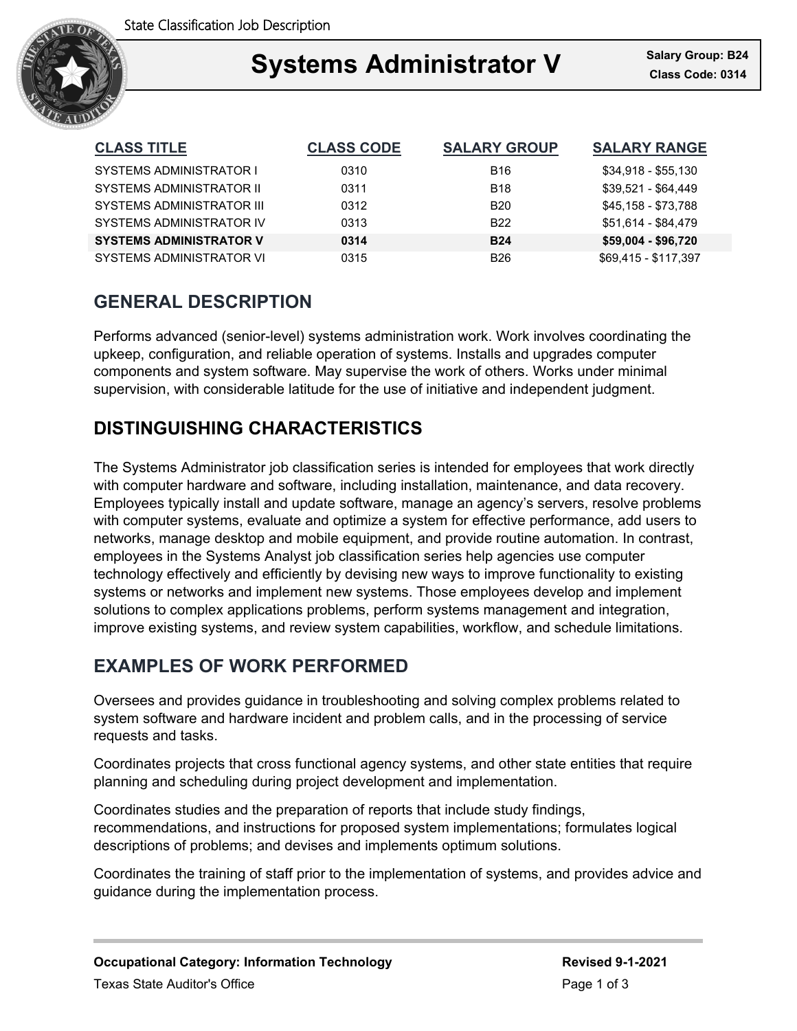

### Ξ **Systems Administrator V Class Code: 0314**

| <b>CLASS TITLE</b>               | <b>CLASS CODE</b> | <b>SALARY GROUP</b> | <b>SALARY RANGE</b>  |
|----------------------------------|-------------------|---------------------|----------------------|
| SYSTEMS ADMINISTRATOR I          | 0310              | <b>B16</b>          | \$34,918 - \$55,130  |
| SYSTEMS ADMINISTRATOR II         | 0311              | <b>B18</b>          | \$39.521 - \$64.449  |
| <b>SYSTEMS ADMINISTRATOR III</b> | 0312              | <b>B20</b>          | \$45,158 - \$73,788  |
| SYSTEMS ADMINISTRATOR IV         | 0313              | <b>B22</b>          | \$51.614 - \$84.479  |
| <b>SYSTEMS ADMINISTRATOR V</b>   | 0314              | <b>B24</b>          | \$59,004 - \$96,720  |
| SYSTEMS ADMINISTRATOR VI         | 0315              | <b>B26</b>          | \$69.415 - \$117.397 |

# **GENERAL DESCRIPTION**

Performs advanced (senior-level) systems administration work. Work involves coordinating the upkeep, configuration, and reliable operation of systems. Installs and upgrades computer components and system software. May supervise the work of others. Works under minimal supervision, with considerable latitude for the use of initiative and independent judgment.

# **DISTINGUISHING CHARACTERISTICS**

The Systems Administrator job classification series is intended for employees that work directly with computer hardware and software, including installation, maintenance, and data recovery. Employees typically install and update software, manage an agency's servers, resolve problems with computer systems, evaluate and optimize a system for effective performance, add users to networks, manage desktop and mobile equipment, and provide routine automation. In contrast, employees in the Systems Analyst job classification series help agencies use computer technology effectively and efficiently by devising new ways to improve functionality to existing systems or networks and implement new systems. Those employees develop and implement solutions to complex applications problems, perform systems management and integration, improve existing systems, and review system capabilities, workflow, and schedule limitations.

## **EXAMPLES OF WORK PERFORMED**

Oversees and provides guidance in troubleshooting and solving complex problems related to system software and hardware incident and problem calls, and in the processing of service requests and tasks.

Coordinates projects that cross functional agency systems, and other state entities that require planning and scheduling during project development and implementation.

Coordinates studies and the preparation of reports that include study findings, recommendations, and instructions for proposed system implementations; formulates logical descriptions of problems; and devises and implements optimum solutions.

Coordinates the training of staff prior to the implementation of systems, and provides advice and guidance during the implementation process.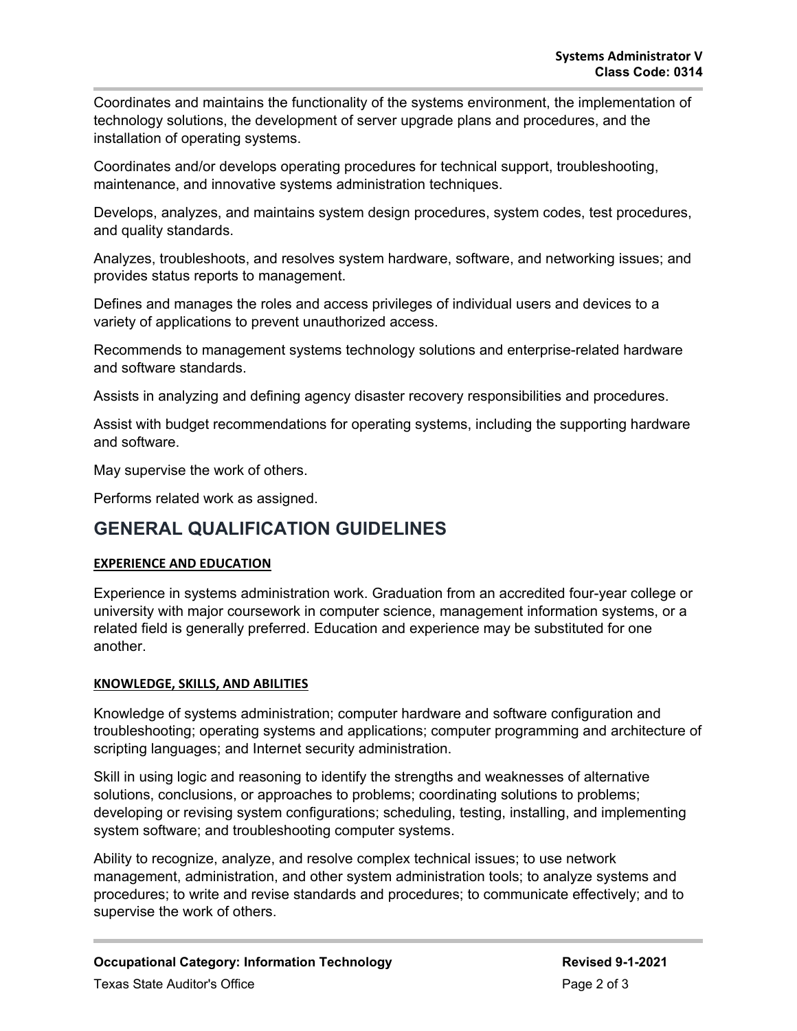Coordinates and maintains the functionality of the systems environment, the implementation of technology solutions, the development of server upgrade plans and procedures, and the installation of operating systems.

Coordinates and/or develops operating procedures for technical support, troubleshooting, maintenance, and innovative systems administration techniques.

Develops, analyzes, and maintains system design procedures, system codes, test procedures, and quality standards.

Analyzes, troubleshoots, and resolves system hardware, software, and networking issues; and provides status reports to management.

Defines and manages the roles and access privileges of individual users and devices to a variety of applications to prevent unauthorized access.

Recommends to management systems technology solutions and enterprise-related hardware and software standards.

Assists in analyzing and defining agency disaster recovery responsibilities and procedures.

Assist with budget recommendations for operating systems, including the supporting hardware and software.

May supervise the work of others.

Performs related work as assigned.

### **GENERAL QUALIFICATION GUIDELINES**

### **EXPERIENCE AND EDUCATION**

Experience in systems administration work. Graduation from an accredited four-year college or university with major coursework in computer science, management information systems, or a related field is generally preferred. Education and experience may be substituted for one another.

### **KNOWLEDGE, SKILLS, AND ABILITIES**

Knowledge of systems administration; computer hardware and software configuration and troubleshooting; operating systems and applications; computer programming and architecture of scripting languages; and Internet security administration.

Skill in using logic and reasoning to identify the strengths and weaknesses of alternative solutions, conclusions, or approaches to problems; coordinating solutions to problems; developing or revising system configurations; scheduling, testing, installing, and implementing system software; and troubleshooting computer systems.

Ability to recognize, analyze, and resolve complex technical issues; to use network management, administration, and other system administration tools; to analyze systems and procedures; to write and revise standards and procedures; to communicate effectively; and to supervise the work of others.